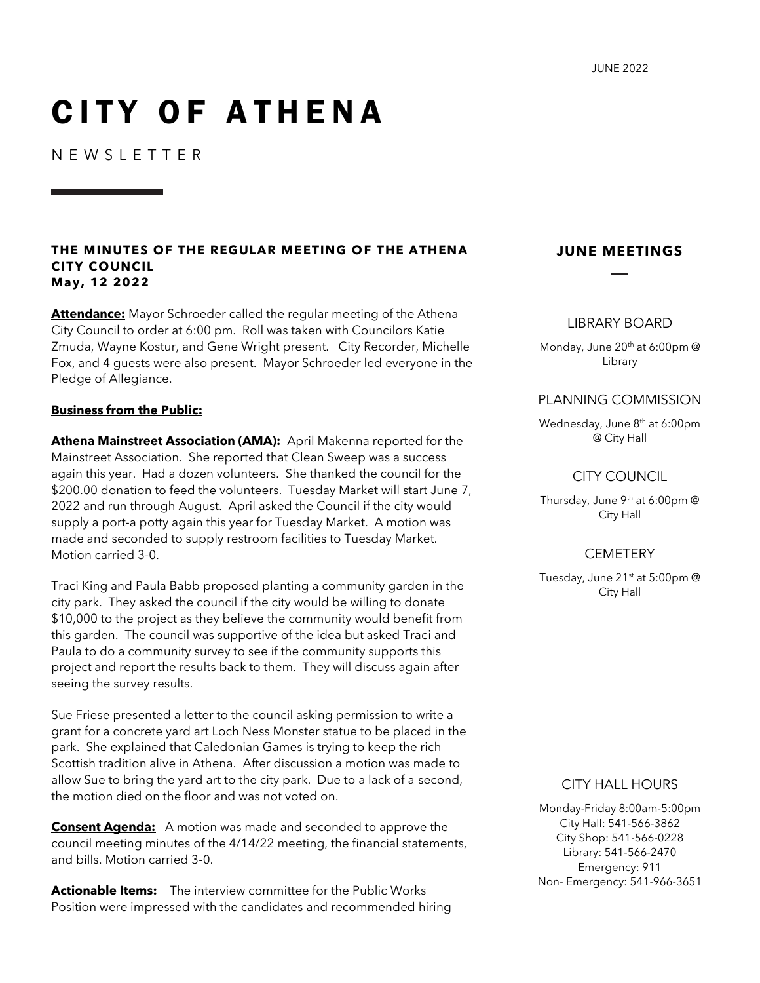# **CITY OF ATHENA**

N E W S L E T T E R

#### **THE MINUTES OF THE REGULAR MEETING OF THE ATHENA CITY COUNCIL May, 12 2022**

**Attendance:** Mayor Schroeder called the regular meeting of the Athena City Council to order at 6:00 pm. Roll was taken with Councilors Katie Zmuda, Wayne Kostur, and Gene Wright present. City Recorder, Michelle Fox, and 4 guests were also present. Mayor Schroeder led everyone in the Pledge of Allegiance.

### **Business from the Public:**

**Athena Mainstreet Association (AMA):** April Makenna reported for the Mainstreet Association. She reported that Clean Sweep was a success again this year. Had a dozen volunteers. She thanked the council for the \$200.00 donation to feed the volunteers. Tuesday Market will start June 7, 2022 and run through August. April asked the Council if the city would supply a port-a potty again this year for Tuesday Market. A motion was made and seconded to supply restroom facilities to Tuesday Market. Motion carried 3-0.

Traci King and Paula Babb proposed planting a community garden in the city park. They asked the council if the city would be willing to donate \$10,000 to the project as they believe the community would benefit from this garden. The council was supportive of the idea but asked Traci and Paula to do a community survey to see if the community supports this project and report the results back to them. They will discuss again after seeing the survey results.

Sue Friese presented a letter to the council asking permission to write a grant for a concrete yard art Loch Ness Monster statue to be placed in the park. She explained that Caledonian Games is trying to keep the rich Scottish tradition alive in Athena. After discussion a motion was made to allow Sue to bring the yard art to the city park. Due to a lack of a second, the motion died on the floor and was not voted on.

**Consent Agenda:** A motion was made and seconded to approve the council meeting minutes of the 4/14/22 meeting, the financial statements, and bills. Motion carried 3-0.

**Actionable Items:** The interview committee for the Public Works Position were impressed with the candidates and recommended hiring

### **JUNE MEETINGS**

#### LIBRARY BOARD

Monday, June 20<sup>th</sup> at 6:00pm@ Library

### PLANNING COMMISSION

Wednesday, June 8<sup>th</sup> at 6:00pm @ City Hall

#### CITY COUNCIL

Thursday, June 9<sup>th</sup> at 6:00pm @ City Hall

#### **CEMETERY**

Tuesday, June 21<sup>st</sup> at 5:00pm@ City Hall

### CITY HALL HOURS

Monday-Friday 8:00am-5:00pm City Hall: 541-566-3862 City Shop: 541-566-0228 Library: 541-566-2470 Emergency: 911 Non- Emergency: 541-966-3651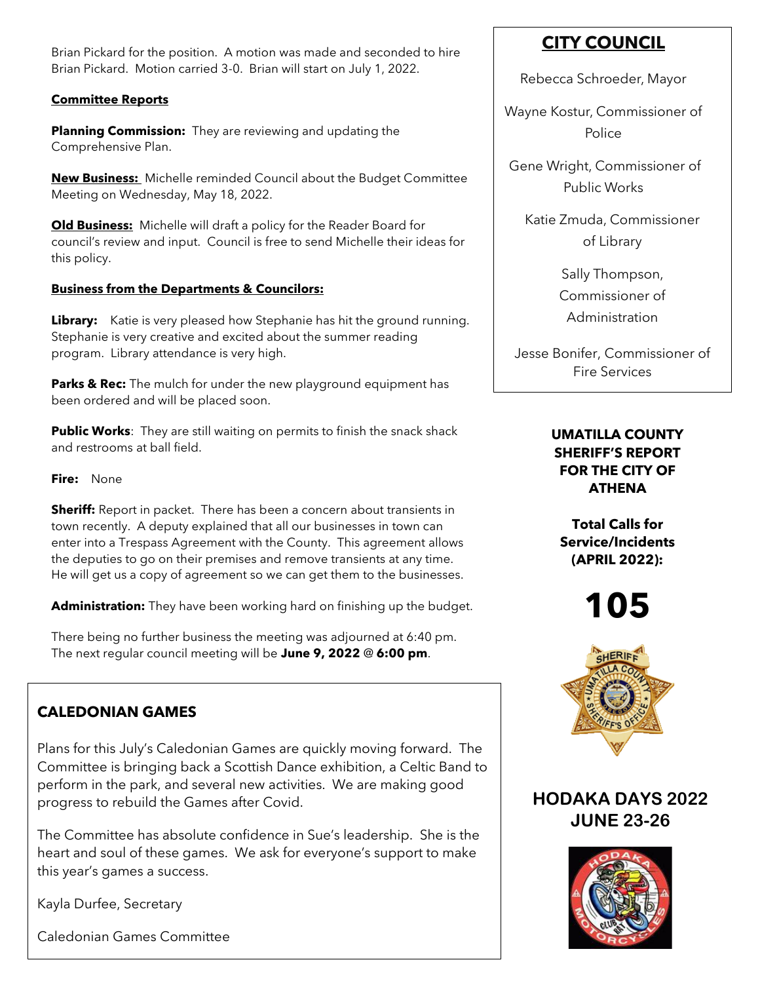Brian Pickard for the position. A motion was made and seconded to hire Brian Pickard. Motion carried 3-0. Brian will start on July 1, 2022.

### **Committee Reports**

**Planning Commission:** They are reviewing and updating the Comprehensive Plan.

**New Business:** Michelle reminded Council about the Budget Committee Meeting on Wednesday, May 18, 2022.

**Old Business:** Michelle will draft a policy for the Reader Board for council's review and input. Council is free to send Michelle their ideas for this policy.

### **Business from the Departments & Councilors:**

**Library:** Katie is very pleased how Stephanie has hit the ground running. Stephanie is very creative and excited about the summer reading program. Library attendance is very high.

**Parks & Rec:** The mulch for under the new playground equipment has been ordered and will be placed soon.

**Public Works:** They are still waiting on permits to finish the snack shack and restrooms at ball field.

**Fire:** None

**Sheriff:** Report in packet. There has been a concern about transients in town recently. A deputy explained that all our businesses in town can enter into a Trespass Agreement with the County. This agreement allows the deputies to go on their premises and remove transients at any time. He will get us a copy of agreement so we can get them to the businesses.

**Administration:** They have been working hard on finishing up the budget.

There being no further business the meeting was adjourned at 6:40 pm. The next regular council meeting will be **June 9, 2022** @ **6:00 pm**.

### **CALEDONIAN GAMES**

Plans for this July's Caledonian Games are quickly moving forward. The Committee is bringing back a Scottish Dance exhibition, a Celtic Band to perform in the park, and several new activities. We are making good progress to rebuild the Games after Covid.

The Committee has absolute confidence in Sue's leadership. She is the heart and soul of these games. We ask for everyone's support to make this year's games a success.

Kayla Durfee, Secretary

Caledonian Games Committee

### **CITY COUNCIL**

Rebecca Schroeder, Mayor

Wayne Kostur, Commissioner of Police

Gene Wright, Commissioner of Public Works

Katie Zmuda, Commissioner of Library

> Sally Thompson, Commissioner of Administration

Jesse Bonifer, Commissioner of Fire Services

### **UMATILLA COUNTY SHERIFF'S REPORT FOR THE CITY OF ATHENA**

**Total Calls for Service/Incidents (APRIL 2022):**

**105**



### **HODAKA DAYS 2022 JUNE 23-26**

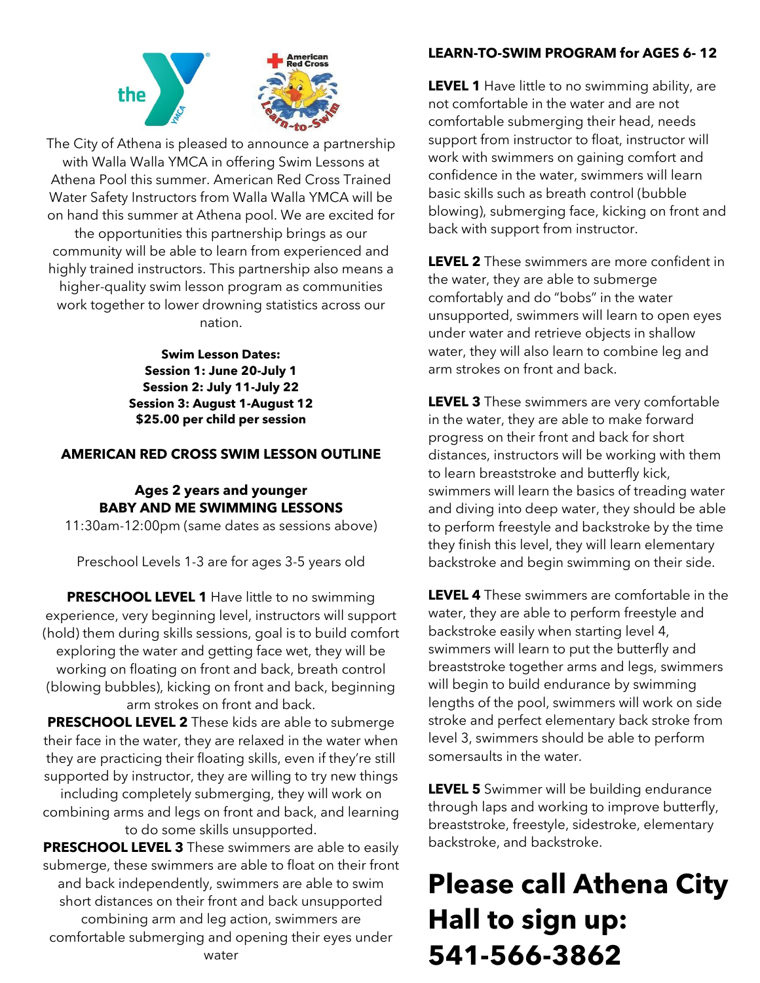

The City of Athena is pleased to announce a partnership with Walla Walla YMCA in offering Swim Lessons at Athena Pool this summer. American Red Cross Trained Water Safety Instructors from Walla Walla YMCA will be on hand this summer at Athena pool. We are excited for the opportunities this partnership brings as our community will be able to learn from experienced and highly trained instructors. This partnership also means a higher-quality swim lesson program as communities work together to lower drowning statistics across our nation.

> **Swim Lesson Dates: Session 1: June 20-July 1 Session 2: July 11-July 22 Session 3: August 1-August 12 \$25.00 per child per session**

### **AMERICAN RED CROSS SWIM LESSON OUTLINE**

### **Ages 2 years and younger BABY AND ME SWIMMING LESSONS**

11:30am-12:00pm (same dates as sessions above)

Preschool Levels 1-3 are for ages 3-5 years old

**PRESCHOOL LEVEL 1** Have little to no swimming experience, very beginning level, instructors will support (hold) them during skills sessions, goal is to build comfort exploring the water and getting face wet, they will be working on floating on front and back, breath control (blowing bubbles), kicking on front and back, beginning arm strokes on front and back.

**PRESCHOOL LEVEL 2** These kids are able to submerge their face in the water, they are relaxed in the water when they are practicing their floating skills, even if they're still supported by instructor, they are willing to try new things

including completely submerging, they will work on combining arms and legs on front and back, and learning to do some skills unsupported.

**PRESCHOOL LEVEL 3** These swimmers are able to easily submerge, these swimmers are able to float on their front and back independently, swimmers are able to swim short distances on their front and back unsupported combining arm and leg action, swimmers are comfortable submerging and opening their eyes under water

### **LEARN-TO-SWIM PROGRAM for AGES 6- 12**

**LEVEL 1** Have little to no swimming ability, are not comfortable in the water and are not comfortable submerging their head, needs support from instructor to float, instructor will work with swimmers on gaining comfort and confidence in the water, swimmers will learn basic skills such as breath control (bubble blowing), submerging face, kicking on front and back with support from instructor.

**LEVEL 2** These swimmers are more confident in the water, they are able to submerge comfortably and do "bobs" in the water unsupported, swimmers will learn to open eyes under water and retrieve objects in shallow water, they will also learn to combine leg and arm strokes on front and back.

**LEVEL 3** These swimmers are very comfortable in the water, they are able to make forward progress on their front and back for short distances, instructors will be working with them to learn breaststroke and butterfly kick, swimmers will learn the basics of treading water and diving into deep water, they should be able to perform freestyle and backstroke by the time they finish this level, they will learn elementary backstroke and begin swimming on their side.

**LEVEL 4** These swimmers are comfortable in the water, they are able to perform freestyle and backstroke easily when starting level 4, swimmers will learn to put the butterfly and breaststroke together arms and legs, swimmers will begin to build endurance by swimming lengths of the pool, swimmers will work on side stroke and perfect elementary back stroke from level 3, swimmers should be able to perform somersaults in the water.

**LEVEL 5** Swimmer will be building endurance through laps and working to improve butterfly, breaststroke, freestyle, sidestroke, elementary backstroke, and backstroke.

## **Please call Athena City Hall to sign up: 541-566-3862**